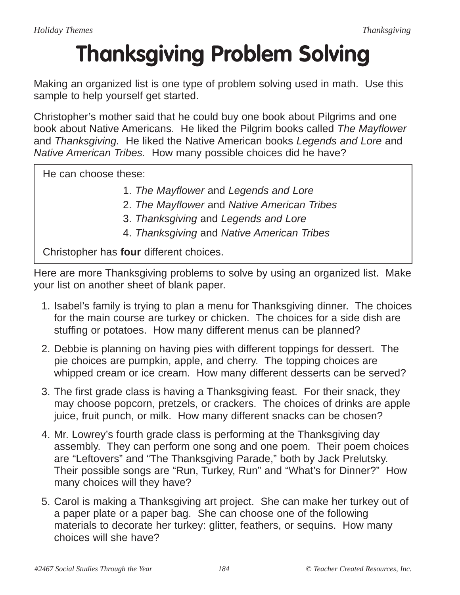## **Thanksgiving Problem Solving**

Making an organized list is one type of problem solving used in math. Use this sample to help yourself get started.

Christopher's mother said that he could buy one book about Pilgrims and one book about Native Americans. He liked the Pilgrim books called The Mayflower and Thanksgiving. He liked the Native American books Legends and Lore and Native American Tribes. How many possible choices did he have?

He can choose these:

- 1. The Mayflower and Legends and Lore
- 2. The Mayflower and Native American Tribes
- 3. Thanksgiving and Legends and Lore
- 4. Thanksgiving and Native American Tribes

Christopher has **four** different choices.

Here are more Thanksgiving problems to solve by using an organized list. Make your list on another sheet of blank paper.

- 1. Isabel's family is trying to plan a menu for Thanksgiving dinner. The choices for the main course are turkey or chicken. The choices for a side dish are stuffing or potatoes. How many different menus can be planned?
- 2. Debbie is planning on having pies with different toppings for dessert. The pie choices are pumpkin, apple, and cherry. The topping choices are whipped cream or ice cream. How many different desserts can be served?
- 3. The first grade class is having a Thanksgiving feast. For their snack, they may choose popcorn, pretzels, or crackers. The choices of drinks are apple juice, fruit punch, or milk. How many different snacks can be chosen?
- 4. Mr. Lowrey's fourth grade class is performing at the Thanksgiving day assembly. They can perform one song and one poem. Their poem choices are "Leftovers" and "The Thanksgiving Parade," both by Jack Prelutsky. Their possible songs are "Run, Turkey, Run" and "What's for Dinner?" How many choices will they have?
- 5. Carol is making a Thanksgiving art project. She can make her turkey out of a paper plate or a paper bag. She can choose one of the following materials to decorate her turkey: glitter, feathers, or sequins. How many choices will she have?